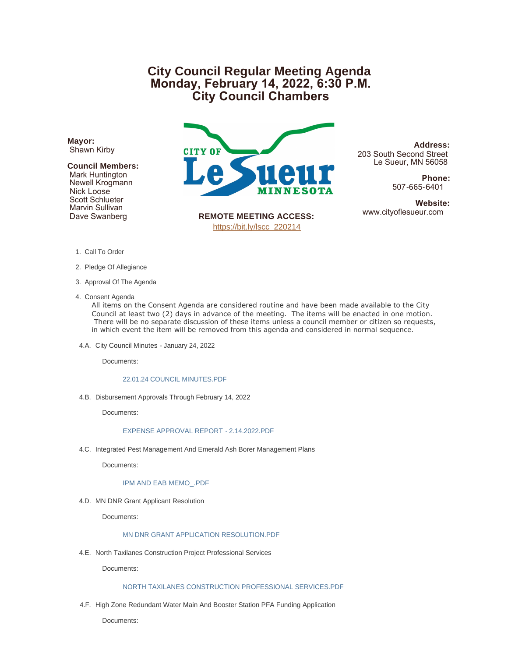# **City Council Regular Meeting Agenda Monday, February 14, 2022, 6:30 P.M. City Council Chambers**

**Mayor:** Shawn Kirby

## **Council Members:**

 Mark Huntington Newell Krogmann Nick Loose Scott Schlueter Marvin Sullivan Dave Swanberg



**Address:** 203 South Second Street Le Sueur, MN 56058

> **Phone:** 507-665-6401

**Website:**<br>www.cityoflesueur.com

**REMOTE MEETING ACCESS:** [https://bit.ly/lscc\\_220214](https://bit.ly/lscc_220214)

- 1. Call To Order
- 2. Pledge Of Allegiance
- 3. Approval Of The Agenda
- 4. Consent Agenda

All items on the Consent Agenda are considered routine and have been made available to the City Council at least two (2) days in advance of the meeting. The items will be enacted in one motion. There will be no separate discussion of these items unless a council member or citizen so requests, in which event the item will be removed from this agenda and considered in normal sequence.

4.A. City Council Minutes - January 24, 2022

Documents:

#### [22.01.24 COUNCIL MINUTES.PDF](http://www.cityoflesueur.com/AgendaCenter/ViewFile/Item/2366?fileID=3096)

4.B. Disbursement Approvals Through February 14, 2022

Documents:

## [EXPENSE APPROVAL REPORT - 2.14.2022.PDF](http://www.cityoflesueur.com/AgendaCenter/ViewFile/Item/2389?fileID=3111)

4.C. Integrated Pest Management And Emerald Ash Borer Management Plans

Documents:

#### [IPM AND EAB MEMO\\_.PDF](http://www.cityoflesueur.com/AgendaCenter/ViewFile/Item/2378?fileID=3115)

4.D. MN DNR Grant Applicant Resolution

Documents:

#### [MN DNR GRANT APPLICATION RESOLUTION.PDF](http://www.cityoflesueur.com/AgendaCenter/ViewFile/Item/2383?fileID=3103)

4.E. North Taxilanes Construction Project Professional Services

Documents:

#### [NORTH TAXILANES CONSTRUCTION PROFESSIONAL SERVICES.PDF](http://www.cityoflesueur.com/AgendaCenter/ViewFile/Item/2380?fileID=3100)

4.F. High Zone Redundant Water Main And Booster Station PFA Funding Application

Documents: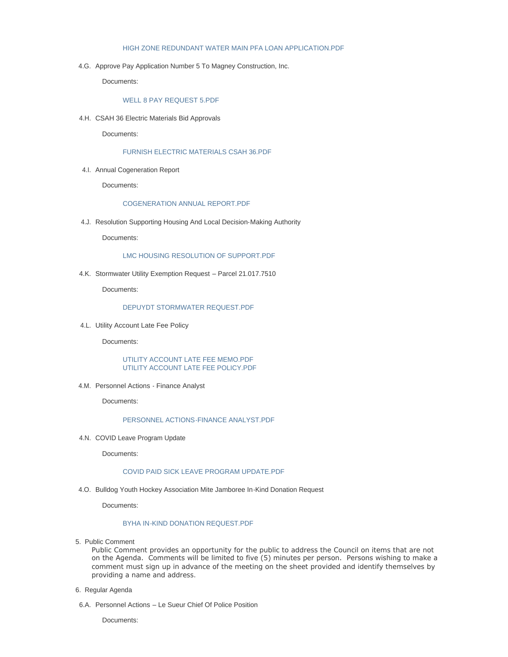#### [HIGH ZONE REDUNDANT WATER MAIN PFA LOAN APPLICATION.PDF](http://www.cityoflesueur.com/AgendaCenter/ViewFile/Item/2381?fileID=3101)

4.G. Approve Pay Application Number 5 To Magney Construction, Inc.

Documents:

### [WELL 8 PAY REQUEST 5.PDF](http://www.cityoflesueur.com/AgendaCenter/ViewFile/Item/2384?fileID=3104)

4.H. CSAH 36 Electric Materials Bid Approvals

Documents:

## [FURNISH ELECTRIC MATERIALS CSAH 36.PDF](http://www.cityoflesueur.com/AgendaCenter/ViewFile/Item/2391?fileID=3112)

4.I. Annual Cogeneration Report

Documents:

#### [COGENERATION ANNUAL REPORT.PDF](http://www.cityoflesueur.com/AgendaCenter/ViewFile/Item/2382?fileID=3102)

4.J. Resolution Supporting Housing And Local Decision-Making Authority

Documents:

# [LMC HOUSING RESOLUTION OF SUPPORT.PDF](http://www.cityoflesueur.com/AgendaCenter/ViewFile/Item/2386?fileID=3107)

4.K. Stormwater Utility Exemption Request - Parcel 21.017.7510

Documents:

## [DEPUYDT STORMWATER REQUEST.PDF](http://www.cityoflesueur.com/AgendaCenter/ViewFile/Item/2379?fileID=3099)

4.L. Utility Account Late Fee Policy

Documents:

### [UTILITY ACCOUNT LATE FEE MEMO.PDF](http://www.cityoflesueur.com/AgendaCenter/ViewFile/Item/2385?fileID=3105) [UTILITY ACCOUNT LATE FEE POLICY.PDF](http://www.cityoflesueur.com/AgendaCenter/ViewFile/Item/2385?fileID=3106)

4.M. Personnel Actions - Finance Analyst

Documents:

## [PERSONNEL ACTIONS-FINANCE ANALYST.PDF](http://www.cityoflesueur.com/AgendaCenter/ViewFile/Item/2392?fileID=3110)

4.N. COVID Leave Program Update

Documents:

## [COVID PAID SICK LEAVE PROGRAM UPDATE.PDF](http://www.cityoflesueur.com/AgendaCenter/ViewFile/Item/2390?fileID=3113)

4.O. Bulldog Youth Hockey Association Mite Jamboree In-Kind Donation Request

Documents:

#### [BYHA IN-KIND DONATION REQUEST.PDF](http://www.cityoflesueur.com/AgendaCenter/ViewFile/Item/2377?fileID=3097)

5. Public Comment

Public Comment provides an opportunity for the public to address the Council on items that are not on the Agenda. Comments will be limited to five (5) minutes per person. Persons wishing to make a comment must sign up in advance of the meeting on the sheet provided and identify themselves by providing a name and address.

- 6. Regular Agenda
- 6.A. Personnel Actions Le Sueur Chief Of Police Position

Documents: